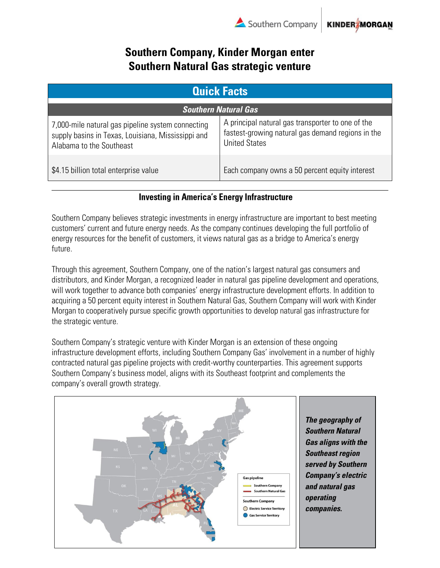## **Southern Company, Kinder Morgan enter Southern Natural Gas strategic venture**

| <b>Quick Facts</b>                                                                                                                  |                                                                                                                                |
|-------------------------------------------------------------------------------------------------------------------------------------|--------------------------------------------------------------------------------------------------------------------------------|
| <b>Southern Natural Gas</b>                                                                                                         |                                                                                                                                |
| 7,000-mile natural gas pipeline system connecting<br>supply basins in Texas, Louisiana, Mississippi and<br>Alabama to the Southeast | A principal natural gas transporter to one of the<br>fastest-growing natural gas demand regions in the<br><b>United States</b> |
| \$4.15 billion total enterprise value                                                                                               | Each company owns a 50 percent equity interest                                                                                 |

## **Investing in America's Energy Infrastructure**

Southern Company believes strategic investments in energy infrastructure are important to best meeting customers' current and future energy needs. As the company continues developing the full portfolio of energy resources for the benefit of customers, it views natural gas as a bridge to America's energy future.

Through this agreement, Southern Company, one of the nation's largest natural gas consumers and distributors, and Kinder Morgan, a recognized leader in natural gas pipeline development and operations, will work together to advance both companies' energy infrastructure development efforts. In addition to acquiring a 50 percent equity interest in Southern Natural Gas, Southern Company will work with Kinder Morgan to cooperatively pursue specific growth opportunities to develop natural gas infrastructure for the strategic venture.

Southern Company's strategic venture with Kinder Morgan is an extension of these ongoing infrastructure development efforts, including Southern Company Gas' involvement in a number of highly contracted natural gas pipeline projects with credit-worthy counterparties. This agreement supports Southern Company's business model, aligns with its Southeast footprint and complements the company's overall growth strategy.



*The geography of Southern Natural Gas aligns with the Southeast region served by Southern Company's electric and natural gas operating companies.*